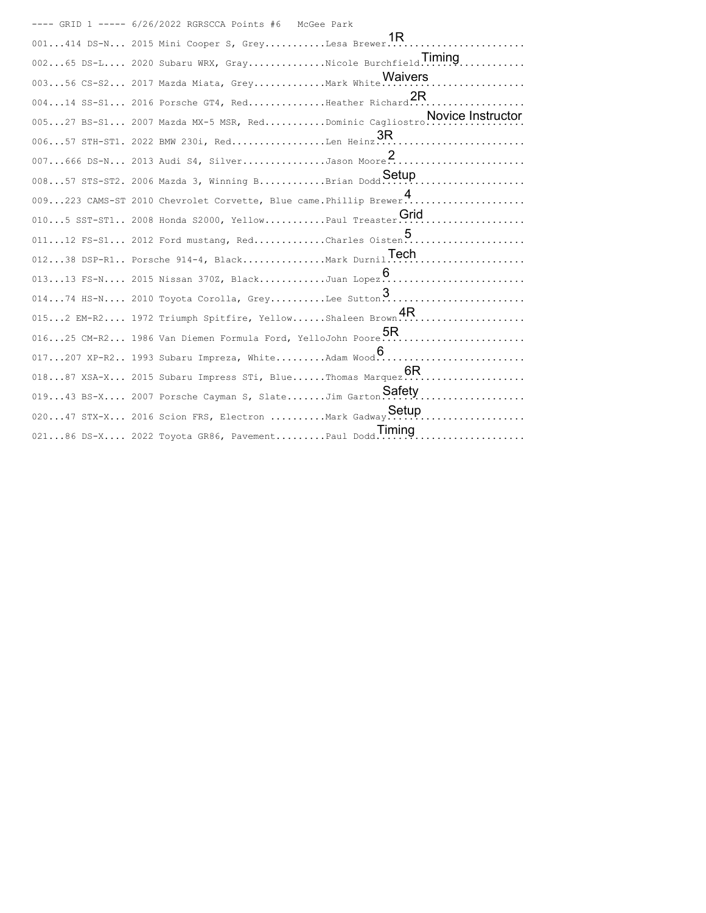---- GRID 1 ----- 6/26/2022 RGRSCCA Points #6 McGee Park 001...414 DS-N... 2015 Mini Cooper S, Grey...........Lesa Brewer......................... 1R 002...65 DS-L.... 2020 Subaru WRX, Gray..............Nicole Burchfield................... Timing 003...56 CS-S2... 2017 Mazda Miata, Grey.............Mark White............................ 004...14 SS-S1... 2016 Porsche GT4, Red..............Heather Richard..................... 2R 005...27 BS-S1... 2007 Mazda MX-5 MSR, Red...........Dominic Cagliostro.................. Novice Instructor 006...57 STH-ST1. 2022 BMW 230i, Red.................Len Heinz........................... 3R 007...666 DS-N... 2013 Audi S4, Silver.............Jason Moore......................... 008...57 STS-ST2. 2006 Mazda 3, Winning B...........Brian Dodd............................. 009...223 CAMS-ST 2010 Chevrolet Corvette, Blue came.Phillip Brewer...................... 4010...5 SST-ST1.. 2008 Honda S2000, Yellow...........Paul Treaster......................... 011...12 FS-S1... 2012 Ford mustang, Red.............Charles Oisten..................... 012...38 DSP-R1.. Porsche 914-4, Black...............Mark Durnil......................... Tech 013...13 FS-N.... 2015 Nissan 370Z, Black...........Juan Lopez.......................... 014...74 HS-N.... 2010 Toyota Corolla, Grey..........Lee Sutton......................... 015...2 EM-R2.... 1972 Triumph Spitfire, Yellow......Shaleen Brown........................ 016...25 CM-R2... 1986 Van Diemen Formula Ford, YelloJohn Poore.......................... 5R 017...207 XP-R2.. 1993 Subaru Impreza, White.........Adam Wood........................... 6 018...87 XSA-X... 2015 Subaru Impress STi, Blue......Thomas Marquez...................... 6R 019...43 BS-X.... 2007 Porsche Cayman S, Slate.......Jim Garton.......................... Safety 020...47 STX-X... 2016 Scion FRS, Electron ..........Mark Gadway......................... Setup 021...86 DS-X.... 2022 Toyota GR86, Pavement.........Paul Dodd........................... Timing